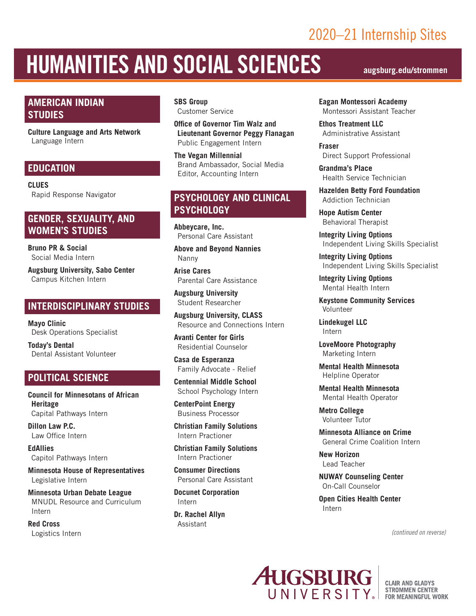## 2020–21 Internship Sites

# HUMANITIES AND SOCIAL SCIENCES **augsburg.edu/strommen**

### **AMERICAN INDIAN STUDIES**

**Culture Language and Arts Network**  Language Intern

### **EDUCATION**

**CLUES** Rapid Response Navigator

### **GENDER, SEXUALITY, AND WOMEN'S STUDIES**

**Bruno PR & Social** Social Media Intern

**Augsburg University, Sabo Center** Campus Kitchen Intern

### **INTERDISCIPLINARY STUDIES**

**Mayo Clinic**  Desk Operations Specialist

**Today's Dental**  Dental Assistant Volunteer

### **POLITICAL SCIENCE**

**Council for Minnesotans of African Heritage** Capital Pathways Intern

**Dillon Law P.C.**  Law Office Intern

**EdAllies** Capitol Pathways Intern

**Minnesota House of Representatives** Legislative Intern

**Minnesota Urban Debate League** MNUDL Resource and Curriculum Intern

**Red Cross** Logistics Intern

### **SBS Group** Customer Service

**Office of Governor Tim Walz and Lieutenant Governor Peggy Flanagan** Public Engagement Intern

**The Vegan Millennial**  Brand Ambassador, Social Media Editor, Accounting Intern

### **PSYCHOLOGY AND CLINICAL PSYCHOLOGY**

**Abbeycare, Inc.** Personal Care Assistant

**Above and Beyond Nannies** Nanny

**Arise Cares** Parental Care Assistance

**Augsburg University** Student Researcher

**Augsburg University, CLASS** Resource and Connections Intern

**Avanti Center for Girls** Residential Counselor

**Casa de Esperanza** Family Advocate - Relief

**Centennial Middle School** School Psychology Intern

**CenterPoint Energy** Business Processor

**Christian Family Solutions**  Intern Practioner

**Christian Family Solutions**  Intern Practioner

**Consumer Directions** Personal Care Assistant

**Docunet Corporation** Intern

**Dr. Rachel Allyn**  Assistant

**Eagan Montessori Academy** Montessori Assistant Teacher

**Ethos Treatment LLC** Administrative Assistant

**Fraser** Direct Support Professional

**Grandma's Place** Health Service Technician

**Hazelden Betty Ford Foundation** Addiction Technician

**Hope Autism Center** Behavioral Therapist

**Integrity Living Options** Independent Living Skills Specialist

**Integrity Living Options** Independent Living Skills Specialist

**Integrity Living Options** Mental Health Intern

**Keystone Community Services** Volunteer

**Lindekugel LLC** Intern

**LoveMoore Photography** Marketing Intern

**Mental Health Minnesota** Helpline Operator

**Mental Health Minnesota** Mental Health Operator

**Metro College**  Volunteer Tutor

**Minnesota Alliance on Crime** General Crime Coalition Intern

**New Horizon**  Lead Teacher

**NUWAY Counseling Center** On-Call Counselor

**Open Cities Health Center**  Intern

*(continued on reverse)*

# **AUGSBURG JNIVERSIT**

**CLAIR AND GLADYS STROMMEN CENTER** FOR MEANINGFUL WORK